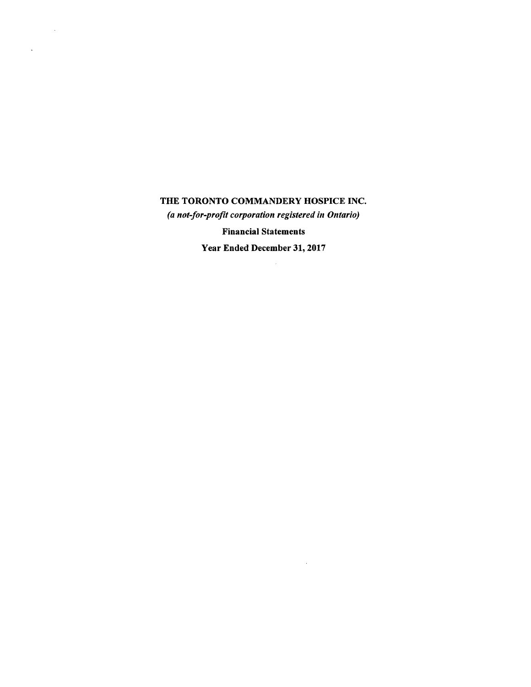$\sim 10^{11}$ 

 $\Delta\sim 10^4$ 

*(a not-for-profit corporation registered in Ontario)* 

Financial Statements

Year Ended December 31, 2017

 $\sim 10^{-10}$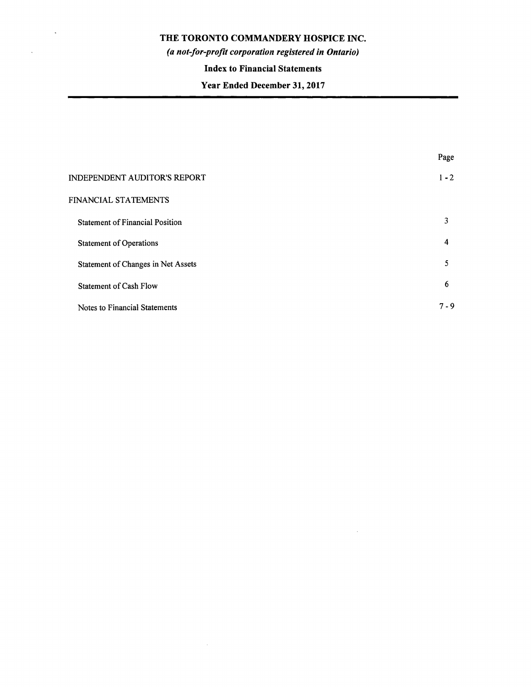$\mathcal{A}^{\pm}$ 

 $\sim 10^{-1}$ 

# *(a not-for-profit corporation registered in Ontario)*

# **Index to Financial Statements**

# **Year Ended December 31, 2017**

|                                        | Page    |
|----------------------------------------|---------|
| <b>INDEPENDENT AUDITOR'S REPORT</b>    | $1 - 2$ |
| FINANCIAL STATEMENTS                   |         |
| <b>Statement of Financial Position</b> | 3       |
| <b>Statement of Operations</b>         | 4       |
| Statement of Changes in Net Assets     | 5       |
| <b>Statement of Cash Flow</b>          | 6       |
| Notes to Financial Statements          | $7 - 9$ |

 $\mathcal{L}^{\text{max}}$ 

 $\sim$   $\mu$  .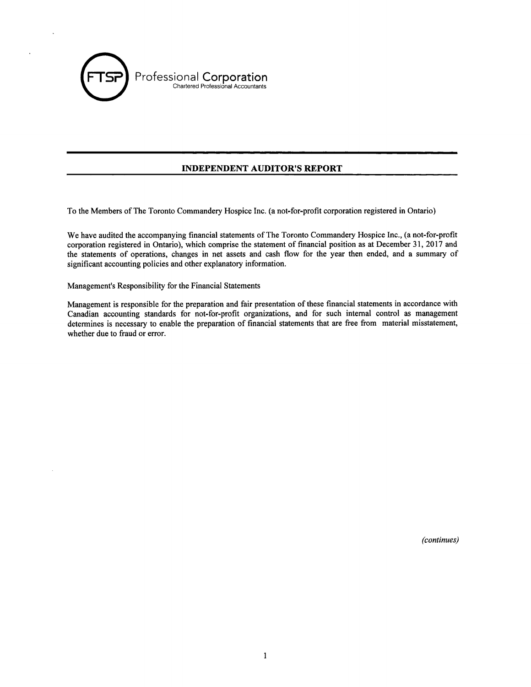

### **INDEPENDENT AUDITOR'S REPORT**

To the Members of The Toronto Commandery Hospice Inc. (a not-for-profit corporation registered in Ontario)

We have audited the accompanying financial statements of The Toronto Commandery Hospice Inc., (a not-for-profit corporation registered in Ontario), which comprise the statement of financial position as at December 31, 2017 and the statements of operations, changes in net assets and cash flow for the year then ended, and a summary of significant accounting policies and other explanatory information.

Management's Responsibility for the Financial Statements

Management is responsible for the preparation and fair presentation of these financial statements in accordance with Canadian accounting standards for not-for-profit organizations, and for such internal control as management determines is necessary to enable the preparation of financial statements that are free from material misstatement, whether due to fraud or error.

*(continues)*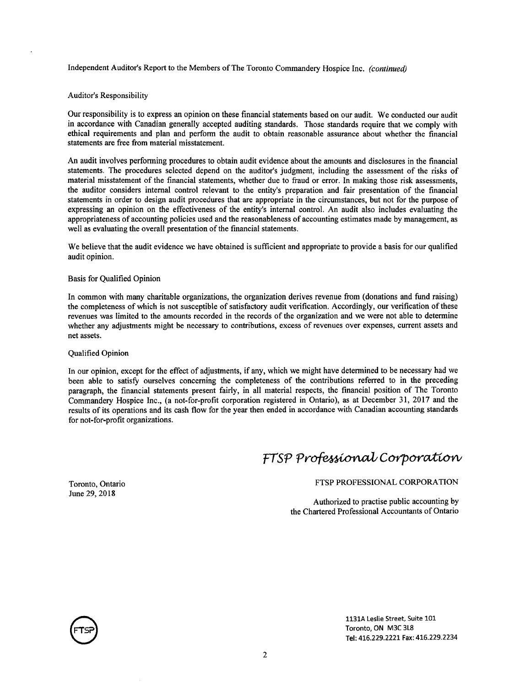Independent Auditor's Report to the Members of The Toronto Commandery Hospice Inc. *(continued)* 

#### Auditor's Responsibility

Our responsibility is to express an opinion on these financial statements based on our audit. We conducted our audit in accordance with Canadian generally accepted auditing standards. Those standards require that we comply with ethical requirements and plan and perform the audit to obtain reasonable assurance about whether the financial statements are free from material misstatement.

An audit involves performing procedures to obtain audit evidence about the amounts and disclosures in the financial statements. The procedures selected depend on the auditor's judgment, including the assessment of the risks of material misstatement of the financial statements, whether due to fraud or error. In making those risk assessments, the auditor considers internal control relevant to the entity's preparation and fair presentation of the financial statements in order to design audit procedures that are appropriate in the circumstances, but not for the purpose of expressing an opinion on the effectiveness of the entity's internal control. An audit also includes evaluating the appropriateness of accounting policies used and the reasonableness of accounting estimates made by management, as well as evaluating the overall presentation of the financial statements.

We believe that the audit evidence we have obtained is sufficient and appropriate to provide a basis for our qualified audit opinion.

#### Basis for Qualified Opinion

In common with many charitable organizations, the organization derives revenue from (donations and fund raising) the completeness of which is not susceptible of satisfactory audit verification. Accordingly, our verification of these revenues was limited to the amounts recorded in the records of the organization and we were not able to determine whether any adjustments might be necessary to contributions, excess of revenues over expenses, current assets and net assets.

#### Qualified Opinion

In our opinion, except for the effect of adjustments, if any, which we might have determined to be necessary had we been able to satisfy ourselves concerning the completeness of the contributions referred to in the preceding paragraph, the financial statements present fairly, in all material respects, the financial position of The Toronto Commandery Hospice Inc., (a not-for-profit corporation registered in Ontario), as at December 31, 2017 and the results of its operations and its cash flow for the year then ended in accordance with Canadian accounting standards for not-for-profit organizations.

# FTSP Professional Corporation

Toronto, Ontario June 29, 2018

FTSP PROFESSIONAL CORPORATION

Authorized to practise public accounting by the Chartered Professional Accountants of Ontario



1131A Leslie Street, Suite 101 Toronto, ON M3C 3L8 Tel: 416.229.2221 Fax: 416.229.2234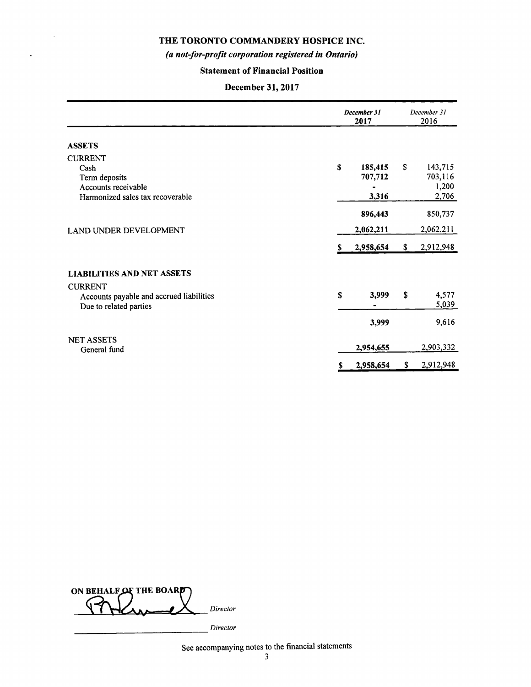$\bar{\mathbf{v}}$ 

 $\overline{\phantom{a}}$ 

# *(a not-for-profit corporation registered in Ontario)*

# **Statement of Financial Position**

# **December 31, 2017**

|                                                                    | December 31<br>2017 |           | December 31<br>2016 |                |
|--------------------------------------------------------------------|---------------------|-----------|---------------------|----------------|
| <b>ASSETS</b>                                                      |                     |           |                     |                |
| <b>CURRENT</b>                                                     |                     |           |                     |                |
| Cash                                                               | \$                  | 185,415   | \$                  | 143,715        |
| Term deposits                                                      |                     | 707,712   |                     | 703,116        |
| Accounts receivable                                                |                     |           |                     | 1,200          |
| Harmonized sales tax recoverable                                   |                     | 3,316     |                     | 2,706          |
|                                                                    |                     | 896,443   |                     | 850,737        |
| LAND UNDER DEVELOPMENT                                             |                     | 2,062,211 |                     | 2,062,211      |
|                                                                    | S                   | 2,958,654 | \$                  | 2,912,948      |
| LIABILITIES AND NET ASSETS                                         |                     |           |                     |                |
| <b>CURRENT</b>                                                     |                     |           |                     |                |
| Accounts payable and accrued liabilities<br>Due to related parties | \$                  | 3,999     | \$                  | 4,577<br>5,039 |
|                                                                    |                     | 3,999     |                     | 9,616          |
| <b>NET ASSETS</b>                                                  |                     |           |                     |                |
| General fund                                                       |                     | 2,954,655 |                     | 2,903,332      |
|                                                                    | \$                  | 2,958,654 | \$                  | 2,912,948      |

**ON BEHALF OF THE BOARD ~AJ':** *tX., Director* 

*\_\_\_\_\_\_\_\_\_\_\_\_\_ Director* 

See accompanying notes to the financial statements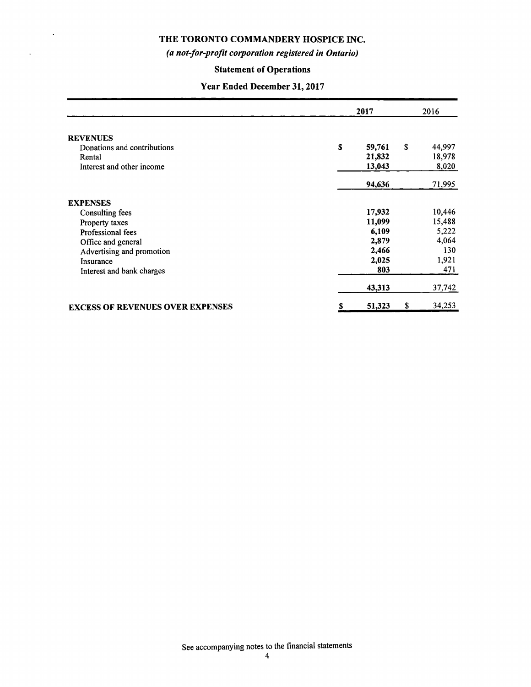$\ddot{\phantom{a}}$ 

 $\hat{\mathcal{A}}$ 

### *(a not-for-profit corporation registered in Ontario)*

# **Statement of Operations**

# **Year Ended December 31, 2017**

|                                         | 2017 |        | 2016 |        |
|-----------------------------------------|------|--------|------|--------|
| <b>REVENUES</b>                         |      |        |      |        |
| Donations and contributions             | \$   | 59,761 | S.   | 44,997 |
| Rental                                  |      | 21,832 |      | 18,978 |
| Interest and other income               |      | 13,043 |      | 8,020  |
|                                         |      | 94,636 |      | 71,995 |
| <b>EXPENSES</b>                         |      |        |      |        |
| <b>Consulting fees</b>                  |      | 17,932 |      | 10,446 |
| Property taxes                          |      | 11,099 |      | 15,488 |
| Professional fees                       |      | 6,109  |      | 5,222  |
| Office and general                      |      | 2,879  |      | 4,064  |
| Advertising and promotion               |      | 2,466  |      | 130    |
| Insurance                               |      | 2,025  |      | 1,921  |
| Interest and bank charges               |      | 803    |      | 471    |
|                                         |      | 43,313 |      | 37,742 |
| <b>EXCESS OF REVENUES OVER EXPENSES</b> | S    | 51,323 | \$   | 34,253 |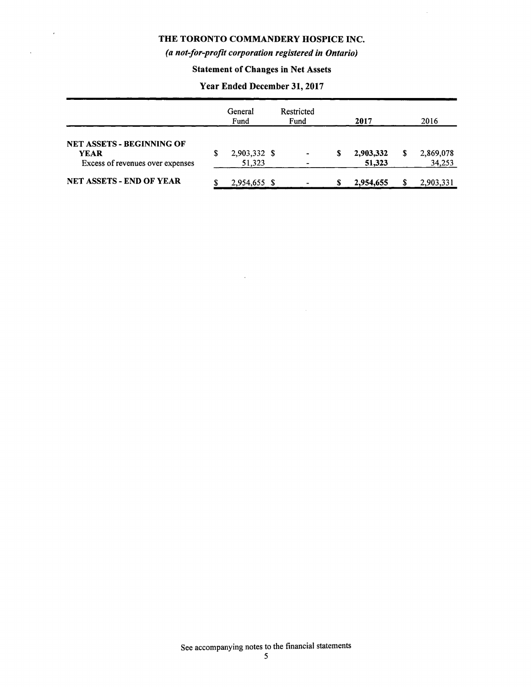$\hat{\mathbf{z}}$ 

 $\ddot{\phantom{a}}$ 

# *(a not-for-profit corporation registered in Ontario)*

# **Statement of Changes in Net Assets**

### **Year Ended December 31, 2017**

|                                                                                     |   | General<br>Fund        | Restricted<br>Fund |   | 2017                | 2016                |
|-------------------------------------------------------------------------------------|---|------------------------|--------------------|---|---------------------|---------------------|
| <b>NET ASSETS - BEGINNING OF</b><br><b>YEAR</b><br>Excess of revenues over expenses | S | 2,903,332 \$<br>51,323 | $\blacksquare$     | S | 2,903,332<br>51,323 | 2,869,078<br>34,253 |
| <b>NET ASSETS - END OF YEAR</b>                                                     |   | 2,954,655 \$           |                    | S | 2,954,655           | 2,903,331           |

 $\mathcal{A}^{\mathcal{A}}$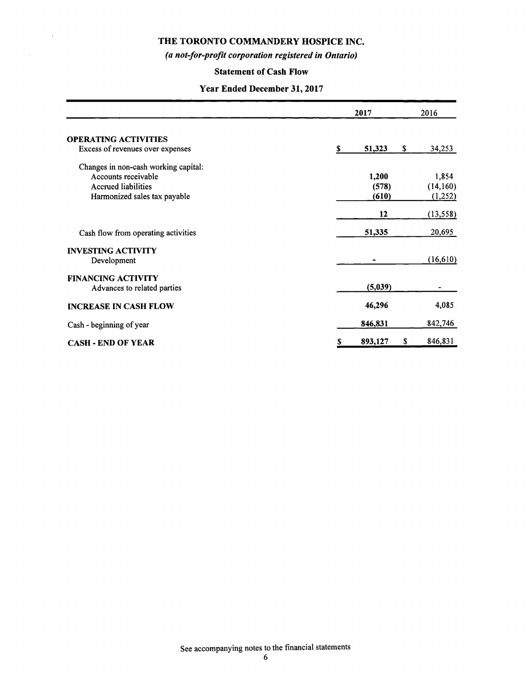$\bar{r}$ 

# *(a not-for-profit corporation registered in Ontario)*

# **Statement of Cash Flow**

### **Year Ended December 31, 2017**

|                                                                                           | 2017           | 2016                 |  |
|-------------------------------------------------------------------------------------------|----------------|----------------------|--|
| <b>OPERATING ACTIVITIES</b><br>Excess of revenues over expenses                           | S<br>51,323    | \$<br>34,253         |  |
| Changes in non-cash working capital:<br>Accounts receivable<br><b>Accrued liabilities</b> | 1,200<br>(578) | 1,854<br>(14,160)    |  |
| Harmonized sales tax payable                                                              | (610)<br>12    | (1,252)<br>(13, 558) |  |
| Cash flow from operating activities                                                       | 51,335         | 20,695               |  |
| <b>INVESTING ACTIVITY</b><br>Development                                                  |                | (16, 610)            |  |
| <b>FINANCING ACTIVITY</b><br>Advances to related parties                                  | (5,039)        |                      |  |
| <b>INCREASE IN CASH FLOW</b>                                                              | 46,296         | 4,085                |  |
| Cash - beginning of year                                                                  | 846,831        | 842,746              |  |
| <b>CASH - END OF YEAR</b>                                                                 | 893,127<br>S   | \$<br>846,831        |  |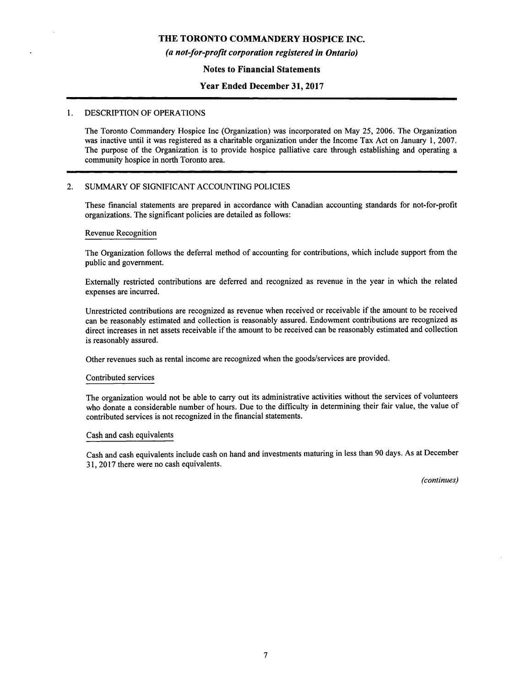#### *(a not-for-profit corporation registered in Ontario)*

#### **Notes to Financial Statements**

### **Year Ended December 31, 2017**

#### 1. DESCRIPTION OF OPERATIONS

The Toronto Commandery Hospice Inc (Organization) was incorporated on May 25, 2006. The Organization was inactive until it was registered as a charitable organization under the Income Tax Act on January 1, 2007. The purpose of the Organization is to provide hospice palliative care through establishing and operating a community hospice in north Toronto area.

#### 2. SUMMARY OF SIGNIFICANT ACCOUNTING POLICIES

These financial statements are prepared in accordance with Canadian accounting standards for not-for-profit organizations. The significant policies are detailed as follows:

#### Revenue Recognition

The Organization follows the deferral method of accounting for contributions, which include support from the public and government.

Externally restricted contributions are deferred and recognized as revenue in the year in which the related expenses are incurred.

Unrestricted contributions are recognized as revenue when received or receivable if the amount to be received can be reasonably estimated and collection is reasonably assured. Endowment contributions are recognized as direct increases in net assets receivable if the amount to be received can be reasonably estimated and collection is reasonably assured.

Other revenues such as rental income are recognized when the goods/services are provided.

#### Contributed services

The organization would not be able to carry out its administrative activities without the services of volunteers who donate a considerable number of hours. Due to the difficulty in determining their fair value, the value of contributed services is not recognized in the financial statements.

#### Cash and cash equivalents

Cash and cash equivalents include cash on hand and investments maturing in less than 90 days. As at December 31, 2017 there were no cash equivalents.

*(continues)*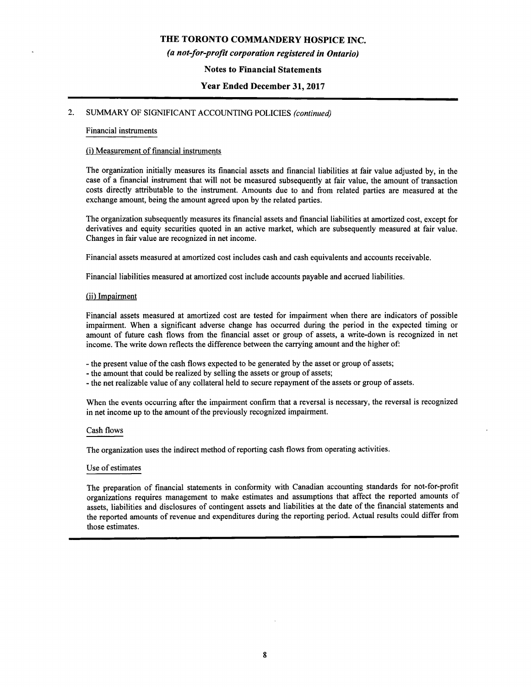#### *(a not-for-profit corporation registered in Ontario)*

#### **Notes to Financial Statements**

#### **Year Ended December 31, 2017**

### 2. SUMMARY OF SIGNIFICANT ACCOUNTING POLICIES *(continued)*

#### Financial instruments

#### (i) Measurement of financial instruments

The organization initially measures its financial assets and financial liabilities at fair value adjusted by, in the case of a financial instrument that will not be measured subsequently at fair value, the amount of transaction costs directly attributable to the instrument. Amounts due to and from related parties are measured at the exchange amount, being the amount agreed upon by the related parties.

The organization subsequently measures its financial assets and financial liabilities at amortized cost, except for derivatives and equity securities quoted in an active market, which are subsequently measured at fair value. Changes in fair value are recognized in net income.

Financial assets measured at amortized cost includes cash and cash equivalents and accounts receivable.

Financial liabilities measured at amortized cost include accounts payable and accrued liabilities.

#### (ii) Impairment

Financial assets measured at amortized cost are tested for impairment when there are indicators of possible impairment. When a significant adverse change has occurred during the period in the expected timing or amount of future cash flows from the financial asset or group of assets, a write-down is recognized in net income. The write down reflects the difference between the carrying amount and the higher of:

- the present value of the cash flows expected to be generated by the asset or group of assets;

- the amount that could be realized by selling the assets or group of assets;
- the net realizable value of any collateral held to secure repayment of the assets or group of assets.

When the events occurring after the impairment confirm that a reversal is necessary, the reversal is recognized in net income up to the amount of the previously recognized impairment.

#### Cash flows

The organization uses the indirect method of reporting cash flows from operating activities.

#### Use of estimates

The preparation of financial statements in conformity with Canadian accounting standards for not-for-profit organizations requires management to make estimates and assumptions that affect the reported amounts of assets, liabilities and disclosures of contingent assets and liabilities at the date of the financial statements and the reported amounts of revenue and expenditures during the reporting period. Actual results could differ from those estimates.